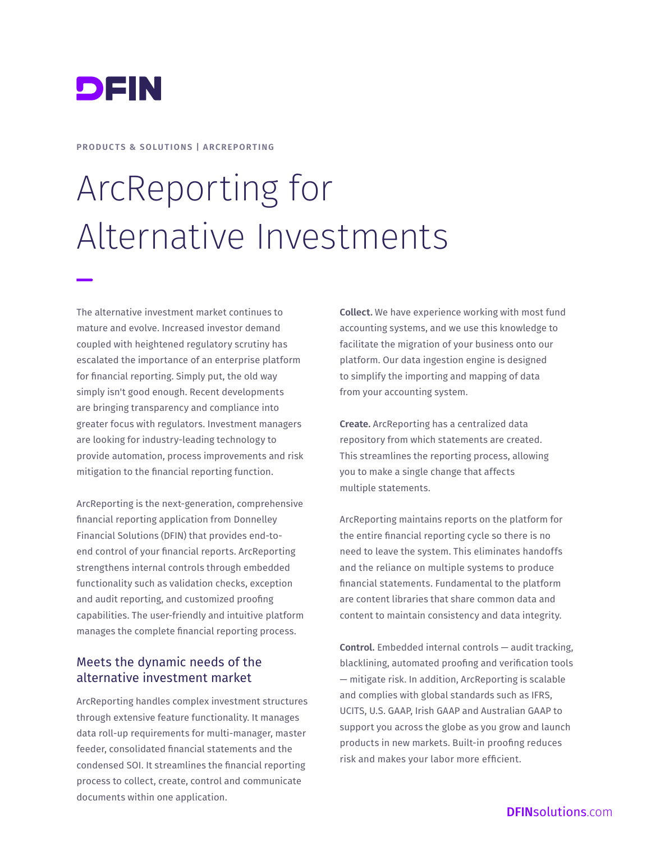

**PRODUCTS & SOLUTIONS | ARCREPORTING**

# ArcReporting for Alternative Investments

The alternative investment market continues to mature and evolve. Increased investor demand coupled with heightened regulatory scrutiny has escalated the importance of an enterprise platform for financial reporting. Simply put, the old way simply isn't good enough. Recent developments are bringing transparency and compliance into greater focus with regulators. Investment managers are looking for industry-leading technology to provide automation, process improvements and risk mitigation to the financial reporting function.

ArcReporting is the next-generation, comprehensive financial reporting application from Donnelley Financial Solutions (DFIN) that provides end-toend control of your financial reports. ArcReporting strengthens internal controls through embedded functionality such as validation checks, exception and audit reporting, and customized proofing capabilities. The user-friendly and intuitive platform manages the complete financial reporting process.

#### Meets the dynamic needs of the alternative investment market

ArcReporting handles complex investment structures through extensive feature functionality. It manages data roll-up requirements for multi-manager, master feeder, consolidated financial statements and the condensed SOI. It streamlines the financial reporting process to collect, create, control and communicate documents within one application.

**Collect.** We have experience working with most fund accounting systems, and we use this knowledge to facilitate the migration of your business onto our platform. Our data ingestion engine is designed to simplify the importing and mapping of data from your accounting system.

**Create.** ArcReporting has a centralized data repository from which statements are created. This streamlines the reporting process, allowing you to make a single change that affects multiple statements.

ArcReporting maintains reports on the platform for the entire financial reporting cycle so there is no need to leave the system. This eliminates handoffs and the reliance on multiple systems to produce financial statements. Fundamental to the platform are content libraries that share common data and content to maintain consistency and data integrity.

**Control.** Embedded internal controls — audit tracking, blacklining, automated proofing and verification tools — mitigate risk. In addition, ArcReporting is scalable and complies with global standards such as IFRS, UCITS, U.S. GAAP, Irish GAAP and Australian GAAP to support you across the globe as you grow and launch products in new markets. Built-in proofing reduces risk and makes your labor more efficient.

#### DFIN[solutions](http://DFINsolutions.com).com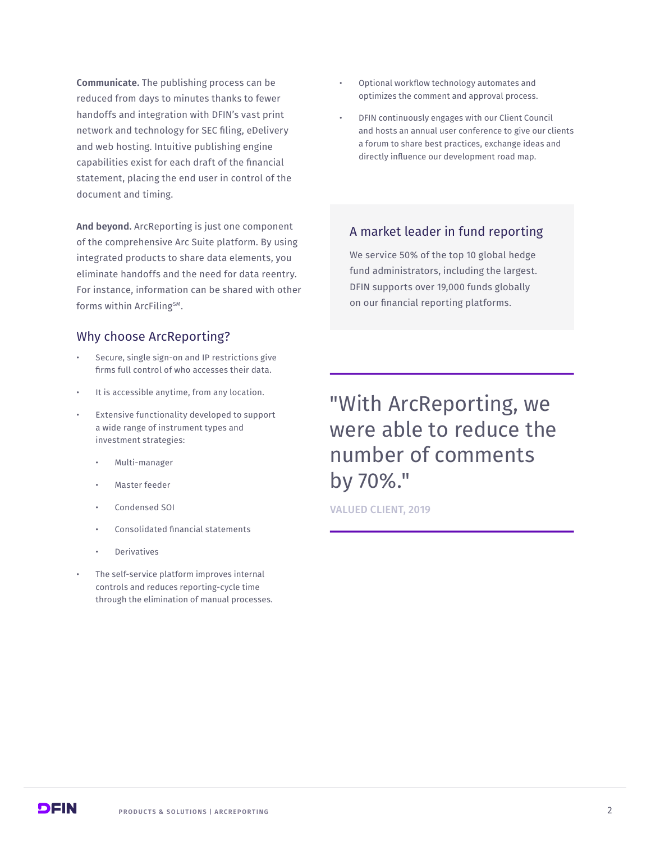**Communicate.** The publishing process can be reduced from days to minutes thanks to fewer handoffs and integration with DFIN's vast print network and technology for SEC filing, eDelivery and web hosting. Intuitive publishing engine capabilities exist for each draft of the financial statement, placing the end user in control of the document and timing.

**And beyond.** ArcReporting is just one component of the comprehensive Arc Suite platform. By using integrated products to share data elements, you eliminate handoffs and the need for data reentry. For instance, information can be shared with other forms within ArcFiling<sup>SM</sup>.

#### Why choose ArcReporting?

- Secure, single sign-on and IP restrictions give firms full control of who accesses their data.
- It is accessible anytime, from any location.
- Extensive functionality developed to support a wide range of instrument types and investment strategies:
	- Multi-manager
	- Master feeder
	- Condensed SOI
	- Consolidated financial statements
	- **Derivatives**
- The self-service platform improves internal controls and reduces reporting-cycle time through the elimination of manual processes.
- Optional workflow technology automates and optimizes the comment and approval process.
- DFIN continuously engages with our Client Council and hosts an annual user conference to give our clients a forum to share best practices, exchange ideas and directly influence our development road map.

#### A market leader in fund reporting

We service 50% of the top 10 global hedge fund administrators, including the largest. DFIN supports over 19,000 funds globally on our financial reporting platforms.

## "With ArcReporting, we were able to reduce the number of comments by 70%."

VALUED CLIENT, 2019